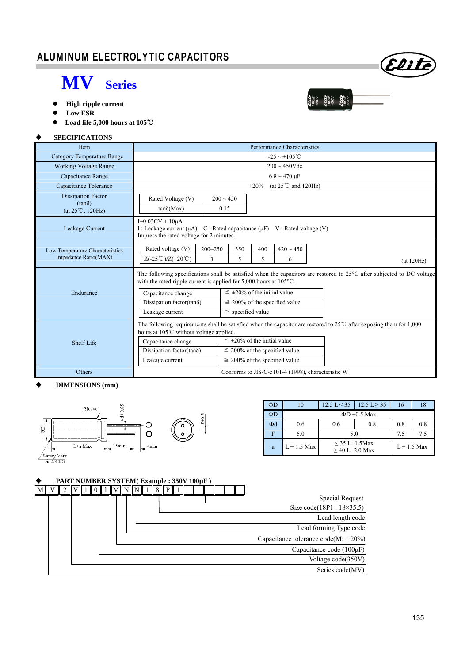### ALUMINUM ELECTROLYTIC CAPACITORS

## **MV Series**

- **High ripple current**
- **Low ESR**
- **Load life 5,000 hours at 105**℃

#### **SPECIFICATIONS**

| <b>Item</b>                                                             | Performance Characteristics                                                                                                                                                                                                                                                                                                                                                                             |  |  |  |  |
|-------------------------------------------------------------------------|---------------------------------------------------------------------------------------------------------------------------------------------------------------------------------------------------------------------------------------------------------------------------------------------------------------------------------------------------------------------------------------------------------|--|--|--|--|
| Category Temperature Range                                              | $-25 \sim +105^{\circ}C$                                                                                                                                                                                                                                                                                                                                                                                |  |  |  |  |
| <b>Working Voltage Range</b>                                            | $200 \sim 450$ Vdc                                                                                                                                                                                                                                                                                                                                                                                      |  |  |  |  |
| Capacitance Range                                                       | $6.8 \sim 470 \text{ }\mu\text{F}$                                                                                                                                                                                                                                                                                                                                                                      |  |  |  |  |
| Capacitance Tolerance                                                   | (at $25^{\circ}$ C and 120Hz)<br>$\pm 20\%$                                                                                                                                                                                                                                                                                                                                                             |  |  |  |  |
| <b>Dissipation Factor</b><br>$(tan\delta)$<br>$(at 25^{\circ}C, 120Hz)$ | Rated Voltage (V)<br>$200 \sim 450$<br>$tan\delta(Max)$<br>0.15                                                                                                                                                                                                                                                                                                                                         |  |  |  |  |
| Leakage Current                                                         | $I=0.03CV + 10\mu A$<br>I: Leakage current $(\mu A)$ C: Rated capacitance $(\mu F)$ V: Rated voltage (V)<br>Impress the rated voltage for 2 minutes.                                                                                                                                                                                                                                                    |  |  |  |  |
| Low Temperature Characteristics<br>Impedance Ratio(MAX)                 | Rated voltage (V)<br>$420 \sim 450$<br>$200 - 250$<br>400<br>350<br>$Z(-25^{\circ}\text{C})/Z(+20^{\circ}\text{C})$<br>3<br>5<br>5<br>6<br>(at 120Hz)                                                                                                                                                                                                                                                   |  |  |  |  |
| Endurance                                                               | The following specifications shall be satisfied when the capacitors are restored to $25^{\circ}$ C after subjected to DC voltage<br>with the rated ripple current is applied for $5,000$ hours at $105^{\circ}$ C.<br>$\leq \pm 20\%$ of the initial value<br>Capacitance change<br>Dissipation factor(tan $\delta$ )<br>$\leq$ 200% of the specified value<br>$\le$ specified value<br>Leakage current |  |  |  |  |
| Shelf Life                                                              | The following requirements shall be satisfied when the capacitor are restored to $25^{\circ}$ C after exposing them for 1,000<br>hours at 105°C without voltage applied.<br>$\leq \pm 20\%$ of the initial value<br>Capacitance change<br>Dissipation factor(tan $\delta$ )<br>$\leq$ 200% of the specified value<br>Leakage current<br>$\leq$ 200% of the specified value                              |  |  |  |  |
| Others                                                                  | Conforms to JIS-C-5101-4 (1998), characteristic W                                                                                                                                                                                                                                                                                                                                                       |  |  |  |  |

#### **DIMENSIONS (mm)**



| ΦD |                   |                                       | $12.5 \text{ L} < 35 \text{ l}$ 12.5 L $> 35$ | 16            | 18  |  |
|----|-------------------|---------------------------------------|-----------------------------------------------|---------------|-----|--|
| ΦD | $\Phi$ D +0.5 Max |                                       |                                               |               |     |  |
| Φd | 0.6               | 0.6                                   | 0.8                                           | 0.8           | 0.8 |  |
| F  | 5.0               | 5.0                                   | 7.5                                           | 7.5           |     |  |
| a  | $L + 1.5$ Max     | $\leq$ 35 L+1.5Max<br>$>40$ L+2.0 Max |                                               | $L + 1.5$ Max |     |  |

#### **PART NUMBER SYSTEM( Example : 350V 100µF )**





22225<br>1004F<br>22225<br>22225<br>222250